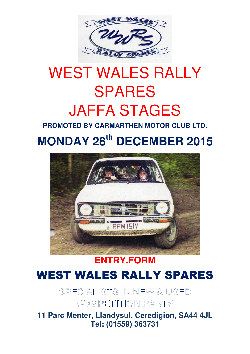

# WEST WALES RALLY SPARES JAFFA STAGES

**PROMOTED BY CARMARTHEN MOTOR CLUB LTD.**

## **MONDAY 28th DECEMBER 2015**



### **ENTRY.FORM** WEST WALES RALLY SPARES

SPECIALISTS IN NEW & USED COMPETITION PARTS

**11 Parc Menter, Llandysul, Ceredigion, SA44 4JL Tel: (01559) 363731**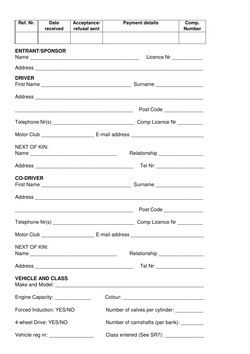| Ref. Nr.                                                                        | <b>Date</b><br>received                                    | Acceptance/<br>refusal sent | <b>Payment details</b>                      |  | Comp.<br><b>Number</b>     |  |
|---------------------------------------------------------------------------------|------------------------------------------------------------|-----------------------------|---------------------------------------------|--|----------------------------|--|
|                                                                                 |                                                            |                             |                                             |  |                            |  |
|                                                                                 | <b>ENTRANT/SPONSOR</b>                                     |                             |                                             |  | Licence Nr ____________    |  |
|                                                                                 |                                                            |                             |                                             |  |                            |  |
| <b>DRIVER</b>                                                                   |                                                            |                             |                                             |  |                            |  |
|                                                                                 |                                                            |                             |                                             |  |                            |  |
|                                                                                 |                                                            |                             |                                             |  | Post Code                  |  |
|                                                                                 |                                                            |                             |                                             |  | Comp Licence Nr _________  |  |
|                                                                                 |                                                            |                             |                                             |  |                            |  |
| <b>NEXT OF KIN:</b>                                                             |                                                            |                             | Relationship ___________________            |  |                            |  |
|                                                                                 |                                                            |                             | Tel Nr: ____________________                |  |                            |  |
| <b>CO-DRIVER</b>                                                                |                                                            |                             | Surname                                     |  |                            |  |
|                                                                                 |                                                            |                             |                                             |  |                            |  |
|                                                                                 |                                                            |                             |                                             |  | Post Code                  |  |
|                                                                                 |                                                            |                             |                                             |  |                            |  |
|                                                                                 |                                                            |                             |                                             |  |                            |  |
| <b>NEXT OF KIN:</b>                                                             |                                                            | Name                        | Relationship __________________             |  |                            |  |
|                                                                                 |                                                            |                             |                                             |  | Tel Nr: __________________ |  |
|                                                                                 | <b>VEHICLE AND CLASS</b>                                   |                             |                                             |  |                            |  |
|                                                                                 | Engine Capacity: _______________                           |                             | Colour: ___________________________________ |  |                            |  |
|                                                                                 | Forced Induction: YES/NO<br>Number of valves per cylinder: |                             |                                             |  |                            |  |
|                                                                                 | 4 wheel Drive: YES/NO                                      |                             | Number of camshafts (per bank): _________   |  |                            |  |
| Class entered (See SR7): _______________<br>Vehicle reg nr: ___________________ |                                                            |                             |                                             |  |                            |  |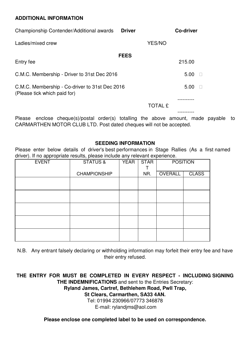#### **ADDITIONAL INFORMATION**

| Championship Contender/Additional awards                                       | <b>Driver</b> |                | Co-driver |
|--------------------------------------------------------------------------------|---------------|----------------|-----------|
| Ladies/mixed crew                                                              |               | YES/NO         |           |
| Entry fee                                                                      | <b>FEES</b>   |                | 215.00    |
| C.M.C. Membership - Driver to 31st Dec 2016                                    |               |                | 5.00      |
| C.M.C. Membership - Co-driver to 31st Dec 2016<br>(Please tick which paid for) |               | 5.00           |           |
|                                                                                |               | <b>TOTAL £</b> |           |
| anclose chaque(s)/nostal order(s) totalling the above amount<br>Plagea         |               |                | mada r    |

Please enclose cheque(s)/postal order(s) totalling the above amount, made payable to CARMARTHEN MOTOR CLUB LTD. Post dated cheques will not be accepted.

#### **SEEDING INFORMATION**

Please enter below details of driver's best performances in Stage Rallies (As a first named driver). If no appropriate results, please include any relevant experience.

| <b>EVENT</b> | <b>STATUS &amp;</b> | <b>YEAR</b><br><b>STAR</b> |     |         | <b>POSITION</b> |  |
|--------------|---------------------|----------------------------|-----|---------|-----------------|--|
|              | <b>CHAMPIONSHIP</b> |                            | NR. | OVERALL | <b>CLASS</b>    |  |
|              |                     |                            |     |         |                 |  |
|              |                     |                            |     |         |                 |  |
|              |                     |                            |     |         |                 |  |
|              |                     |                            |     |         |                 |  |
|              |                     |                            |     |         |                 |  |

N.B. Any entrant falsely declaring or withholding information may forfeit their entry fee and have their entry refused.

**THE ENTRY FOR MUST BE COMPLETED IN EVERY RESPECT - INCLUDING SIGNING THE INDEMNIFICATIONS** and sent to the Entries Secretary: **Ryland James, Cartref, Bethlehem Road, Pwll Trap, St Clears, Carmarthen, SA33 4AN.** 

> Tel: 01994 230966/07773 346878 E-mail: rylandjms@aol.com

**Please enclose one completed label to be used on correspondence.**